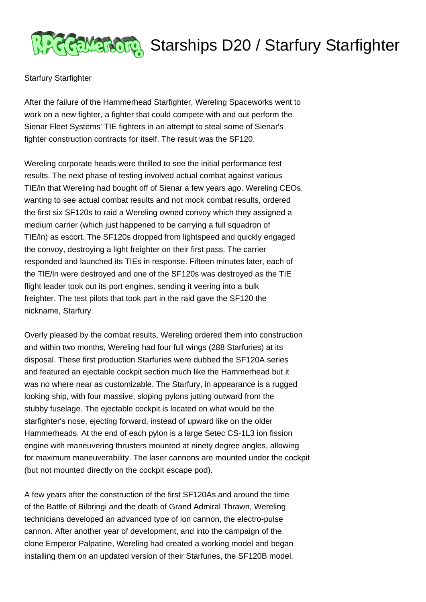

## **Address Starships D20 / Starfury Starfighter**

## Starfury Starfighter

After the failure of the Hammerhead Starfighter, Wereling Spaceworks went to work on a new fighter, a fighter that could compete with and out perform the Sienar Fleet Systems' TIE fighters in an attempt to steal some of Sienar's fighter construction contracts for itself. The result was the SF120.

Wereling corporate heads were thrilled to see the initial performance test results. The next phase of testing involved actual combat against various TIE/ln that Wereling had bought off of Sienar a few years ago. Wereling CEOs, wanting to see actual combat results and not mock combat results, ordered the first six SF120s to raid a Wereling owned convoy which they assigned a medium carrier (which just happened to be carrying a full squadron of TIE/ln) as escort. The SF120s dropped from lightspeed and quickly engaged the convoy, destroying a light freighter on their first pass. The carrier responded and launched its TIEs in response. Fifteen minutes later, each of the TIE/ln were destroyed and one of the SF120s was destroyed as the TIE flight leader took out its port engines, sending it veering into a bulk freighter. The test pilots that took part in the raid gave the SF120 the nickname, Starfury.

Overly pleased by the combat results, Wereling ordered them into construction and within two months, Wereling had four full wings (288 Starfuries) at its disposal. These first production Starfuries were dubbed the SF120A series and featured an ejectable cockpit section much like the Hammerhead but it was no where near as customizable. The Starfury, in appearance is a rugged looking ship, with four massive, sloping pylons jutting outward from the stubby fuselage. The ejectable cockpit is located on what would be the starfighter's nose, ejecting forward, instead of upward like on the older Hammerheads. At the end of each pylon is a large Setec CS-1L3 ion fission engine with maneuvering thrusters mounted at ninety degree angles, allowing for maximum maneuverability. The laser cannons are mounted under the cockpit (but not mounted directly on the cockpit escape pod).

A few years after the construction of the first SF120As and around the time of the Battle of Bilbringi and the death of Grand Admiral Thrawn, Wereling technicians developed an advanced type of ion cannon, the electro-pulse cannon. After another year of development, and into the campaign of the clone Emperor Palpatine, Wereling had created a working model and began installing them on an updated version of their Starfuries, the SF120B model.